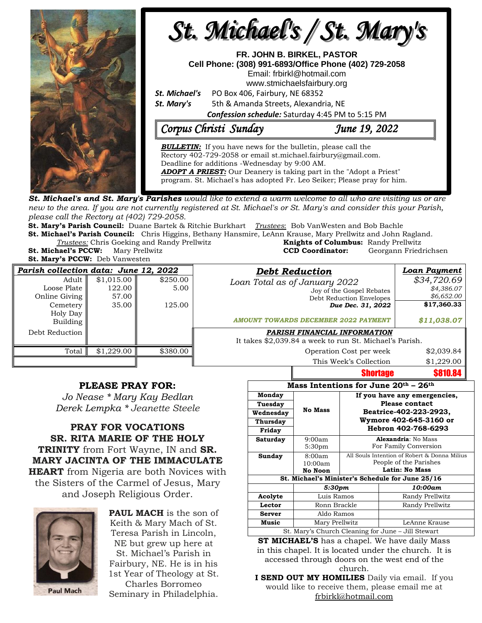

**St. Michael's and St. Mary's Parishes** would like to extend a warm welcome to all who are visiting us or are new to the area. If you are not currently registered at St. Michael's or St. Mary's and consider this your Parish, *please call the Rectory at (402) 729-2058.* 

**St. Mary's Parish Council:** Duane Bartek & Ritchie Burkhart *Trustees*: Bob VanWesten and Bob Bachle

**St. Michael's Parish Council:** Chris Higgins, Bethany Hansmire, LeAnn Krause, Mary Prellwitz and John Ragland. **Trustees:** Chris Goeking and Randy Prellwitz

**St. Michael's PCCW:** Mary Prellwitz **St. Mary's PCCW:** Deb Vanwesten

| <b>Knights of Columbus: Randy Prellwitz</b> |                       |
|---------------------------------------------|-----------------------|
| <b>CCD Coordinator:</b>                     | Georgann Friedrichser |
|                                             |                       |

| Parish collection data: June 12, 2022                         |                                        |                            | <b>Debt Reduction</b>                                                                                                                  | <b>Loan Payment</b>                                    |
|---------------------------------------------------------------|----------------------------------------|----------------------------|----------------------------------------------------------------------------------------------------------------------------------------|--------------------------------------------------------|
| Adult<br>Loose Plate<br>Online Giving<br>Cemetery<br>Holy Day | \$1,015.00<br>122.00<br>57.00<br>35.00 | \$250.00<br>5.00<br>125.00 | Loan Total as of January 2022<br>Joy of the Gospel Rebates<br>Debt Reduction Envelopes<br>Due Dec. 31, 2022                            | \$34,720.69<br>\$4,386.07<br>\$6,652.00<br>\$17,360.33 |
| Building<br>Debt Reduction                                    |                                        |                            | <b>AMOUNT TOWARDS DECEMBER 2022 PAYMENT</b><br>PARISH FINANCIAL INFORMATION<br>It takes \$2,039.84 a week to run St. Michael's Parish. | \$11,038.07                                            |
| Total                                                         | \$1,229.00                             | \$380.00                   | Operation Cost per week                                                                                                                | \$2,039.84                                             |
|                                                               |                                        |                            | This Week's Collection                                                                                                                 | \$1,229.00                                             |

## **PLEASE PRAY FOR:**

*Jo Nease \* Mary Kay Bedlan Derek Lempka \* Jeanette Steele*

**PRAY FOR VOCATIONS SR. RITA MARIE OF THE HOLY TRINITY** from Fort Wayne, IN and **SR. MARY JACINTA OF THE IMMACULATE HEART** from Nigeria are both Novices with the Sisters of the Carmel of Jesus, Mary and Joseph Religious Order.



**PAUL MACH** is the son of Keith & Mary Mach of St. Teresa Parish in Lincoln, NE but grew up here at St. Michael's Parish in Fairbury, NE. He is in his 1st Year of Theology at St. Charles Borromeo Seminary in Philadelphia.

|                                                    | If you have any emergencies,<br><b>Please contact</b><br>Beatrice-402-223-2923,<br>Wymore 402-645-3160 or<br>Hebron 402-768-6293 |                                                                 |  |  |  |
|----------------------------------------------------|----------------------------------------------------------------------------------------------------------------------------------|-----------------------------------------------------------------|--|--|--|
|                                                    |                                                                                                                                  |                                                                 |  |  |  |
|                                                    |                                                                                                                                  |                                                                 |  |  |  |
|                                                    |                                                                                                                                  |                                                                 |  |  |  |
|                                                    |                                                                                                                                  |                                                                 |  |  |  |
| 9:00am<br>5:30 <sub>pm</sub>                       | Alexandria: No Mass<br>For Family Conversion                                                                                     |                                                                 |  |  |  |
| 8:00am                                             | All Souls Intention of Robert & Donna Milius                                                                                     |                                                                 |  |  |  |
| No Noon                                            | People of the Parishes<br>Latin: No Mass                                                                                         |                                                                 |  |  |  |
| St. Michael's Minister's Schedule for June 25/16   |                                                                                                                                  |                                                                 |  |  |  |
| 5:30pm                                             |                                                                                                                                  | 10:00am                                                         |  |  |  |
| Luis Ramos                                         |                                                                                                                                  | Randy Prellwitz                                                 |  |  |  |
| Ronn Brackle                                       |                                                                                                                                  | Randy Prellwitz                                                 |  |  |  |
| Aldo Ramos                                         |                                                                                                                                  |                                                                 |  |  |  |
| Mary Prellwitz                                     |                                                                                                                                  | LeAnne Krause                                                   |  |  |  |
| St. Mary's Church Cleaning for June – Jill Stewart |                                                                                                                                  |                                                                 |  |  |  |
|                                                    | <b>No Mass</b><br>10:00am                                                                                                        | $\sim$ $\sim$<br>$\mathbf{a}$ and $\mathbf{a}$ and $\mathbf{a}$ |  |  |  |

Shortage \$810.84

**ST MICHAEL'S** has a chapel. We have daily Mass in this chapel. It is located under the church. It is accessed through doors on the west end of the church.

**I SEND OUT MY HOMILIES** Daily via email. If you would like to receive them, please email me at [frbirkl@hotmail.com](mailto:frbirkl@hotmail.com)